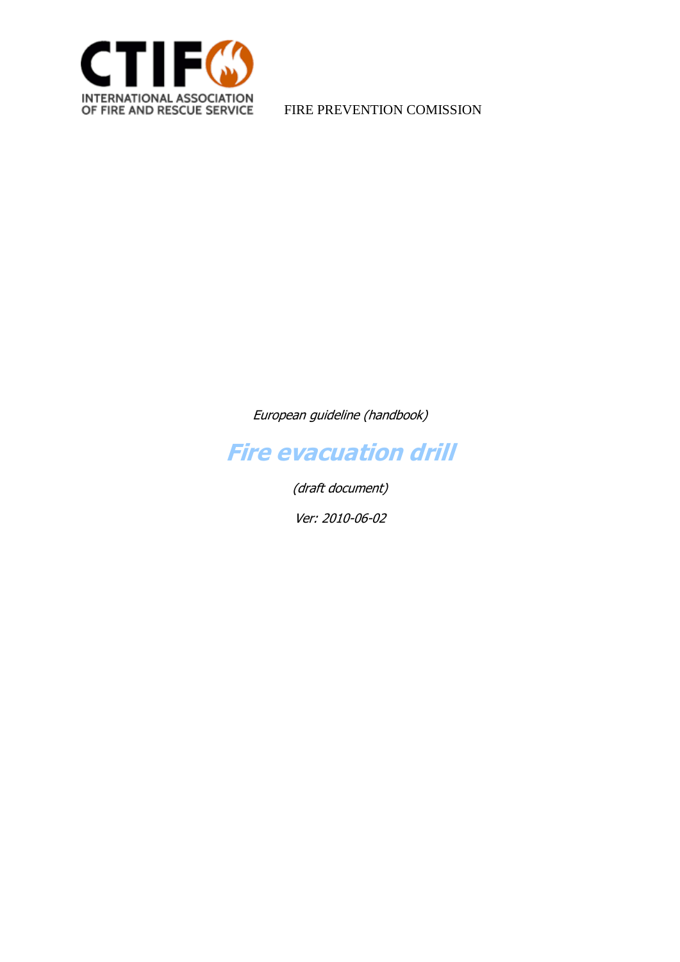

European guideline (handbook)



(draft document)

Ver: 2010-06-02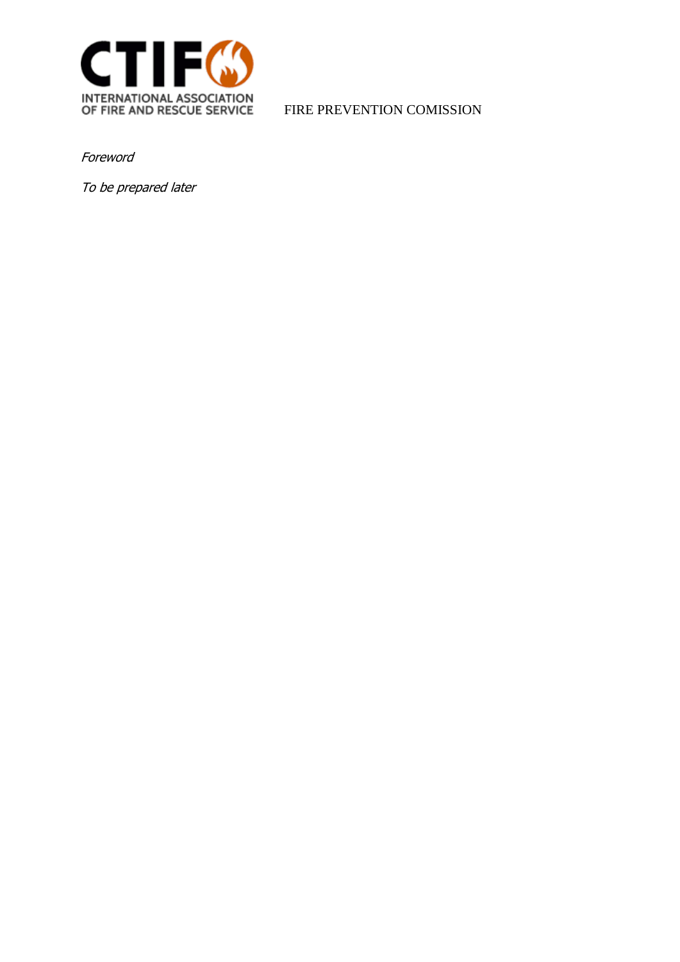

Foreword

To be prepared later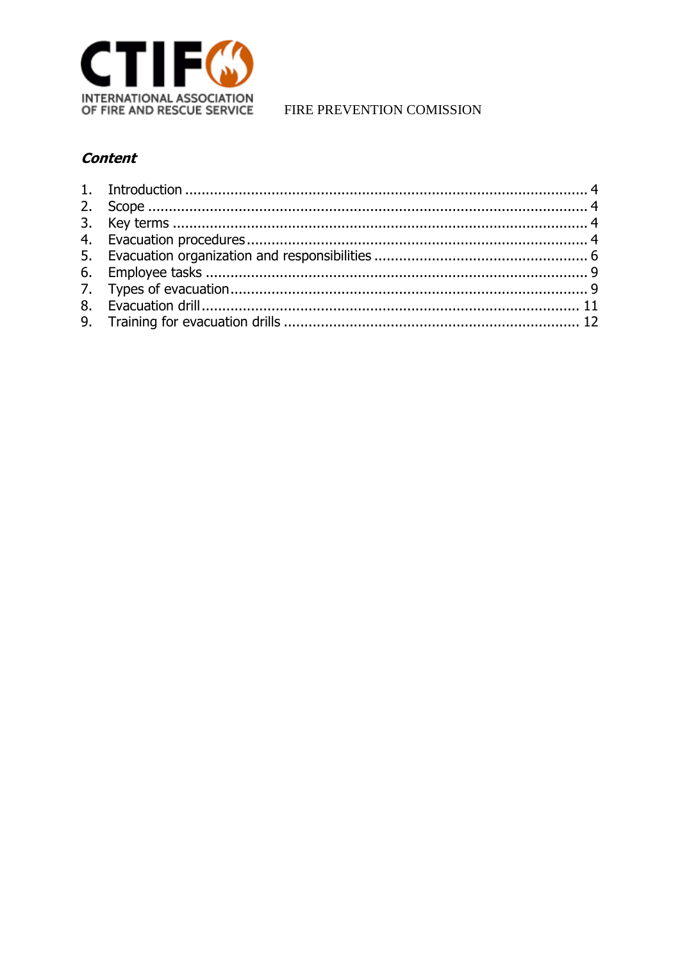

FIRE PREVENTION COMISSION

## **Content**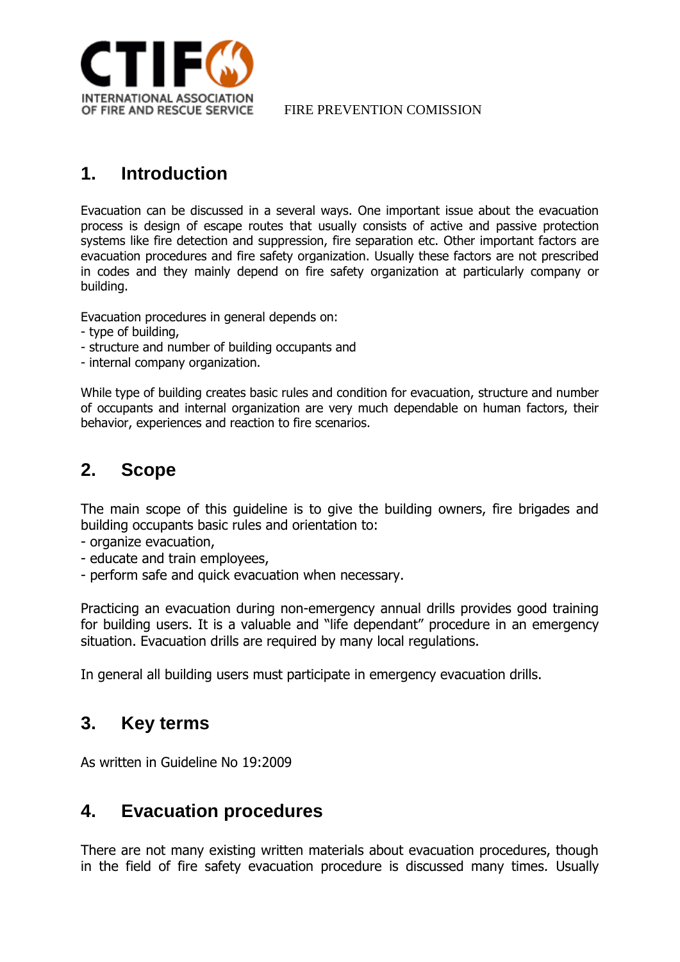

# <span id="page-3-0"></span>**1. Introduction**

Evacuation can be discussed in a several ways. One important issue about the evacuation process is design of escape routes that usually consists of active and passive protection systems like fire detection and suppression, fire separation etc. Other important factors are evacuation procedures and fire safety organization. Usually these factors are not prescribed in codes and they mainly depend on fire safety organization at particularly company or building.

Evacuation procedures in general depends on:

- type of building,
- structure and number of building occupants and
- internal company organization.

While type of building creates basic rules and condition for evacuation, structure and number of occupants and internal organization are very much dependable on human factors, their behavior, experiences and reaction to fire scenarios.

# <span id="page-3-1"></span>**2. Scope**

The main scope of this guideline is to give the building owners, fire brigades and building occupants basic rules and orientation to:

- organize evacuation,
- educate and train employees,
- perform safe and quick evacuation when necessary.

Practicing an evacuation during non-emergency annual drills provides good training for building users. It is a valuable and "life dependant" procedure in an emergency situation. Evacuation drills are required by many local regulations.

In general all building users must participate in emergency evacuation drills.

## <span id="page-3-2"></span>**3. Key terms**

As written in Guideline No 19:2009

## <span id="page-3-3"></span>**4. Evacuation procedures**

There are not many existing written materials about evacuation procedures, though in the field of fire safety evacuation procedure is discussed many times. Usually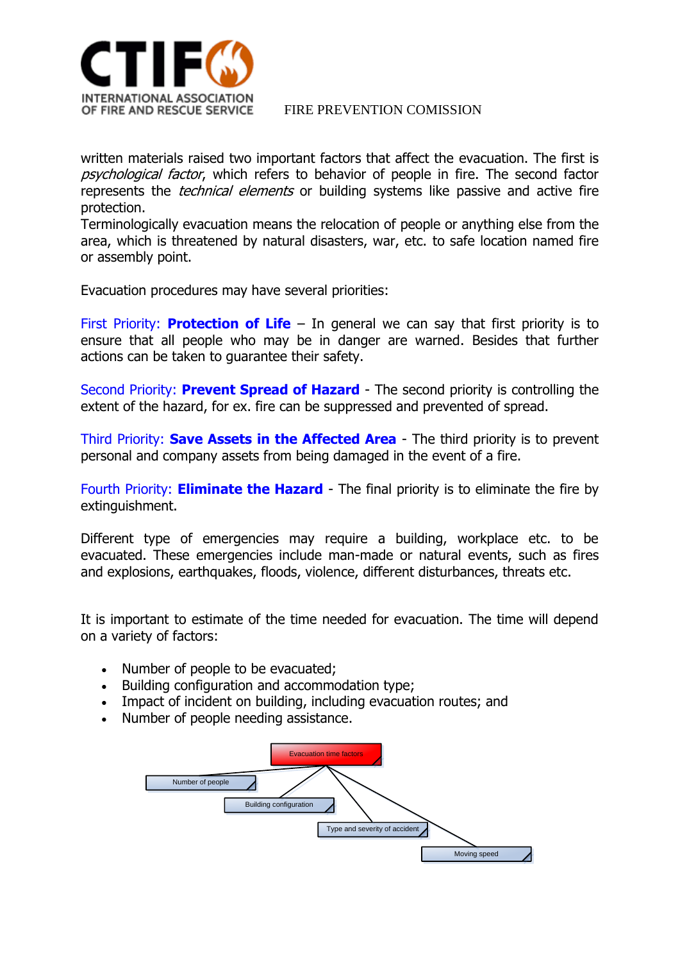

written materials raised two important factors that affect the evacuation. The first is psychological factor, which refers to behavior of people in fire. The second factor represents the *technical elements* or building systems like passive and active fire protection.

Terminologically evacuation means the relocation of people or anything else from the area, which is threatened by natural disasters, war, etc. to safe location named fire or assembly point.

Evacuation procedures may have several priorities:

First Priority: **Protection of Life** – In general we can say that first priority is to ensure that all people who may be in danger are warned. Besides that further actions can be taken to guarantee their safety.

Second Priority: **Prevent Spread of Hazard** - The second priority is controlling the extent of the hazard, for ex. fire can be suppressed and prevented of spread.

Third Priority: **Save Assets in the Affected Area** - The third priority is to prevent personal and company assets from being damaged in the event of a fire.

Fourth Priority: **Eliminate the Hazard** - The final priority is to eliminate the fire by extinguishment.

Different type of emergencies may require a building, workplace etc. to be evacuated. These emergencies include man-made or natural events, such as fires and explosions, earthquakes, floods, violence, different disturbances, threats etc.

It is important to estimate of the time needed for evacuation. The time will depend on a variety of factors:

- Number of people to be evacuated:
- Building configuration and accommodation type;
- Impact of incident on building, including evacuation routes; and
- Number of people needing assistance.

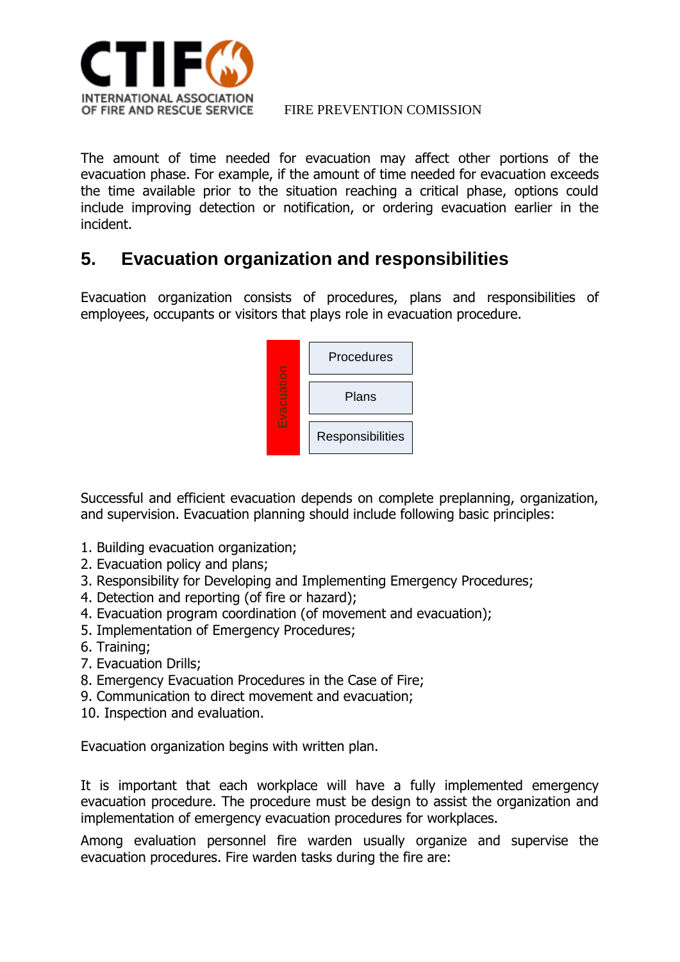

The amount of time needed for evacuation may affect other portions of the evacuation phase. For example, if the amount of time needed for evacuation exceeds the time available prior to the situation reaching a critical phase, options could include improving detection or notification, or ordering evacuation earlier in the incident.

# <span id="page-5-0"></span>**5. Evacuation organization and responsibilities**

Evacuation organization consists of procedures, plans and responsibilities of employees, occupants or visitors that plays role in evacuation procedure.



Successful and efficient evacuation depends on complete preplanning, organization, and supervision. Evacuation planning should include following basic principles:

- 1. Building evacuation organization;
- 2. Evacuation policy and plans;
- 3. [Responsibility for Developing and Implementing Emergency Procedures;](http://www.safety.uwa.edu.au/policies/emergency_fire_and_evacuation#Responsibility#Responsibility)
- 4. Detection and reporting (of fire or hazard);
- 4. Evacuation program coordination (of movement and evacuation);
- 5. [Implementation of Emergency Procedures;](http://www.safety.uwa.edu.au/policies/emergency_fire_and_evacuation#Implementation#Implementation)
- 6. [Training;](http://www.safety.uwa.edu.au/policies/emergency_fire_and_evacuation#Training#Training)
- 7. [Evacuation Drills;](http://www.safety.uwa.edu.au/policies/emergency_fire_and_evacuation#Drills#Drills)
- 8. [Emergency Evacuation Procedures in the Case of Fire;](http://www.safety.uwa.edu.au/policies/emergency_fire_and_evacuation#Fire#Fire)
- 9. Communication to direct movement and evacuation;
- 10. Inspection and evaluation.

Evacuation organization begins with written plan.

It is important that each workplace will have a fully implemented emergency evacuation procedure. The procedure must be design to assist the organization and implementation of emergency evacuation procedures for workplaces.

Among evaluation personnel fire warden usually organize and supervise the evacuation procedures. Fire warden tasks during the fire are: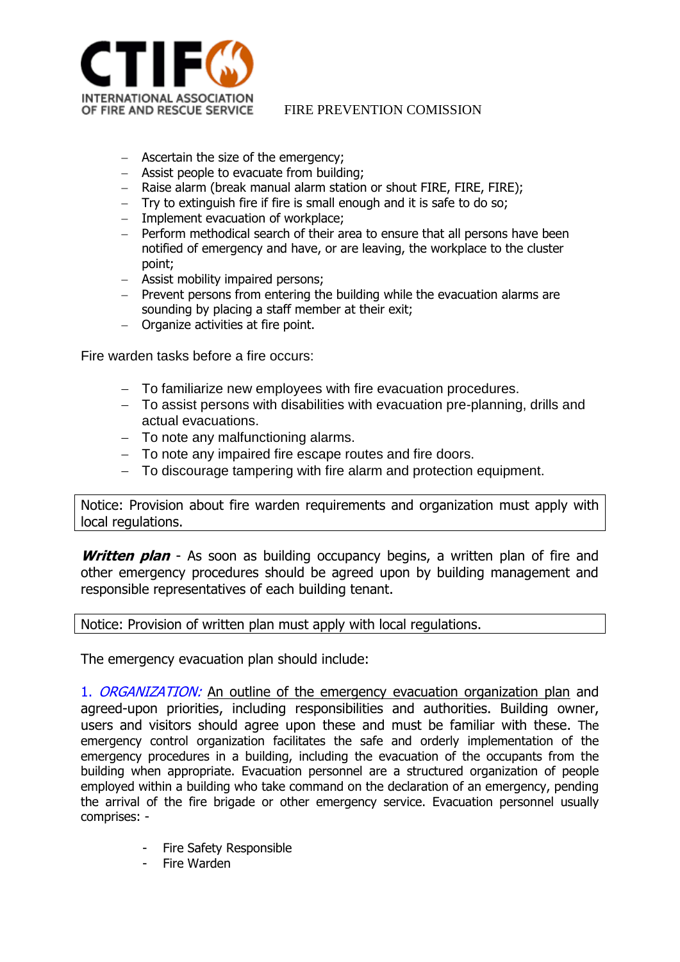

- Ascertain the size of the emergency;
- Assist people to evacuate from building;
- Raise alarm (break manual alarm station or shout FIRE, FIRE, FIRE);
- Try to extinguish fire if fire is small enough and it is safe to do so;
- Implement evacuation of workplace;
- Perform methodical search of their area to ensure that all persons have been notified of emergency and have, or are leaving, the workplace to the cluster point;
- Assist mobility impaired persons;
- $-$  Prevent persons from entering the building while the evacuation alarms are sounding by placing a staff member at their exit;
- Organize activities at fire point.

Fire warden tasks before a fire occurs:

- To familiarize new employees with fire evacuation procedures.
- To assist persons with disabilities with evacuation pre-planning, drills and actual evacuations.
- To note any malfunctioning alarms.
- To note any impaired fire escape routes and fire doors.
- To discourage tampering with fire alarm and protection equipment.

Notice: Provision about fire warden requirements and organization must apply with local regulations.

**Written plan** - As soon as building occupancy begins, a written plan of fire and other emergency procedures should be agreed upon by building management and responsible representatives of each building tenant.

Notice: Provision of written plan must apply with local regulations.

The emergency evacuation plan should include:

1. ORGANIZATION: An outline of the emergency evacuation organization plan and agreed-upon priorities, including responsibilities and authorities. Building owner, users and visitors should agree upon these and must be familiar with these. The emergency control organization facilitates the safe and orderly implementation of the emergency procedures in a building, including the evacuation of the occupants from the building when appropriate. Evacuation personnel are a structured organization of people employed within a building who take command on the declaration of an emergency, pending the arrival of the fire brigade or other emergency service. Evacuation personnel usually comprises: -

- Fire Safety Responsible
- Fire Warden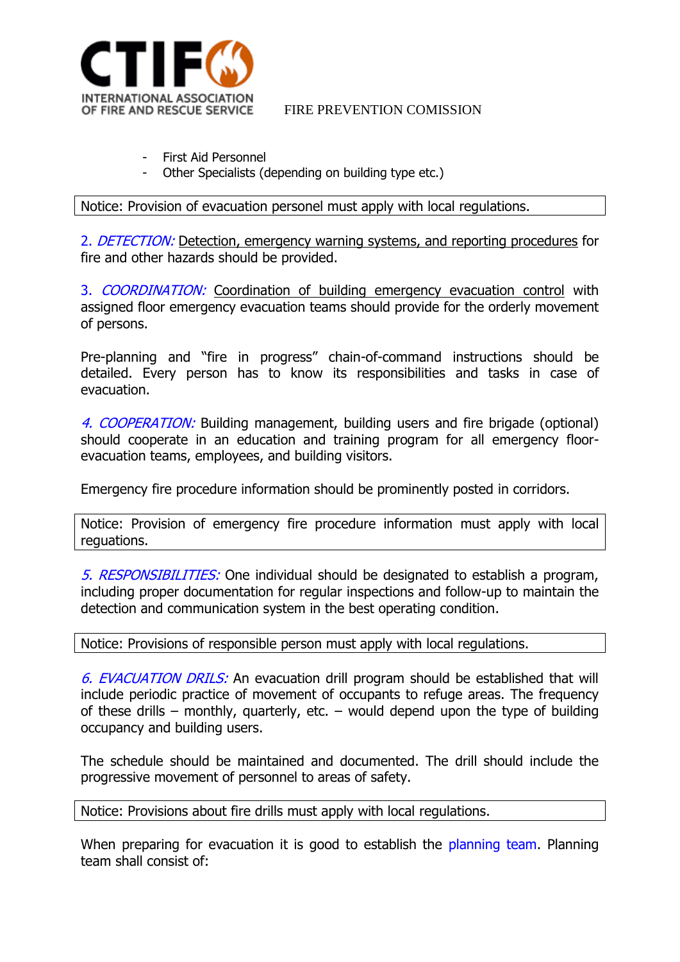

- First Aid Personnel
- Other Specialists (depending on building type etc.)

Notice: Provision of evacuation personel must apply with local regulations.

2. DETECTION: Detection, emergency warning systems, and reporting procedures for fire and other hazards should be provided.

3. COORDINATION: Coordination of building emergency evacuation control with assigned floor emergency evacuation teams should provide for the orderly movement of persons.

Pre-planning and "fire in progress" chain-of-command instructions should be detailed. Every person has to know its responsibilities and tasks in case of evacuation.

4. COOPERATION: Building management, building users and fire brigade (optional) should cooperate in an education and training program for all emergency floorevacuation teams, employees, and building visitors.

Emergency fire procedure information should be prominently posted in corridors.

Notice: Provision of emergency fire procedure information must apply with local reguations.

5. RESPONSIBILITIES: One individual should be designated to establish a program, including proper documentation for regular inspections and follow-up to maintain the detection and communication system in the best operating condition.

Notice: Provisions of responsible person must apply with local regulations.

6. EVACUATION DRILS: An evacuation drill program should be established that will include periodic practice of movement of occupants to refuge areas. The frequency of these drills – monthly, quarterly, etc. – would depend upon the type of building occupancy and building users.

The schedule should be maintained and documented. The drill should include the progressive movement of personnel to areas of safety.

Notice: Provisions about fire drills must apply with local regulations.

When preparing for evacuation it is good to establish the planning team. Planning team shall consist of: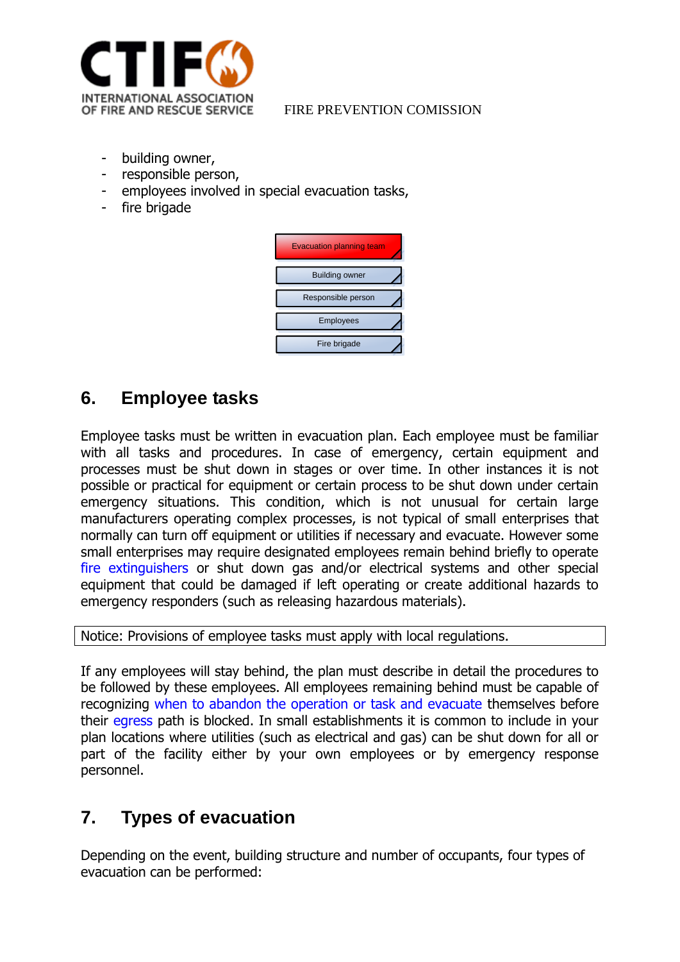

- building owner,
- responsible person,
- employees involved in special evacuation tasks,
- fire brigade

| <b>Evacuation planning team</b> |  |
|---------------------------------|--|
| <b>Building owner</b>           |  |
| Responsible person              |  |
| <b>Employees</b>                |  |
| Fire brigade                    |  |

# <span id="page-8-0"></span>**6. Employee tasks**

Employee tasks must be written in evacuation plan. Each employee must be familiar with all tasks and procedures. In case of emergency, certain equipment and processes must be shut down in stages or over time. In other instances it is not possible or practical for equipment or certain process to be shut down under certain emergency situations. This condition, which is not unusual for certain large manufacturers operating complex processes, is not typical of small enterprises that normally can turn off equipment or utilities if necessary and evacuate. However some small enterprises may require designated employees remain behind briefly to operate [fire extinguishers](http://www.osha.gov/SLTC/etools/evacuation/portable.html) or shut down gas and/or electrical systems and other special equipment that could be damaged if left operating or create additional hazards to emergency responders (such as releasing hazardous materials).

Notice: Provisions of employee tasks must apply with local regulations.

If any employees will stay behind, the plan must describe in detail the procedures to be followed by these employees. All employees remaining behind must be capable of recognizing [when to abandon the operation or task and evacuate](http://www.osha.gov/SLTC/etools/evacuation/portable_relation.html#risk_table) themselves before their [egress](http://www.osha.gov/SLTC/etools/evacuation/egress.html) path is blocked. In small establishments it is common to include in your plan locations where utilities (such as electrical and gas) can be shut down for all or part of the facility either by your own employees or by emergency response personnel.

# <span id="page-8-1"></span>**7. Types of evacuation**

Depending on the event, building structure and number of occupants, four types of evacuation can be performed: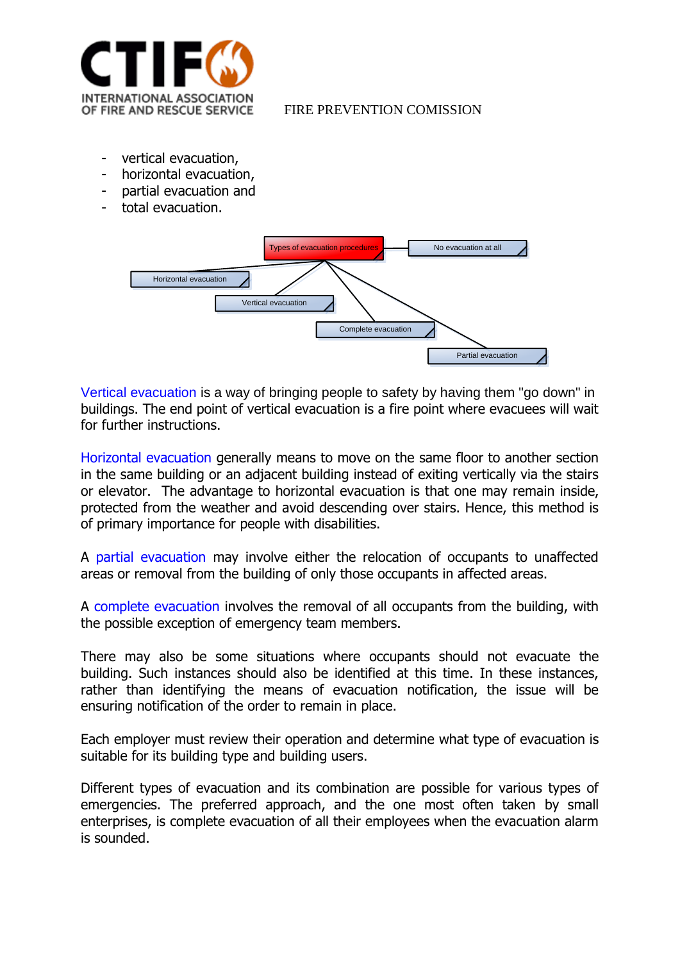

- vertical evacuation,
- horizontal evacuation,
- partial evacuation and
- total evacuation.



Vertical evacuation is a way of bringing people to safety by having them "go down" in buildings. The end point of vertical evacuation is a fire point where evacuees will wait for further instructions.

Horizontal evacuation generally means to move on the same floor to another section in the same building or an adjacent building instead of exiting vertically via the stairs or elevator. The advantage to horizontal evacuation is that one may remain inside, protected from the weather and avoid descending over stairs. Hence, this method is of primary importance for people with disabilities.

A partial evacuation may involve either the relocation of occupants to unaffected areas or removal from the building of only those occupants in affected areas.

A complete evacuation involves the removal of all occupants from the building, with the possible exception of emergency team members.

There may also be some situations where occupants should not evacuate the building. Such instances should also be identified at this time. In these instances, rather than identifying the means of evacuation notification, the issue will be ensuring notification of the order to remain in place.

Each employer must review their operation and determine what type of evacuation is suitable for its building type and building users.

Different types of evacuation and its combination are possible for various types of emergencies. The preferred approach, and the one most often taken by small enterprises, is complete evacuation of all their employees when the evacuation alarm is sounded.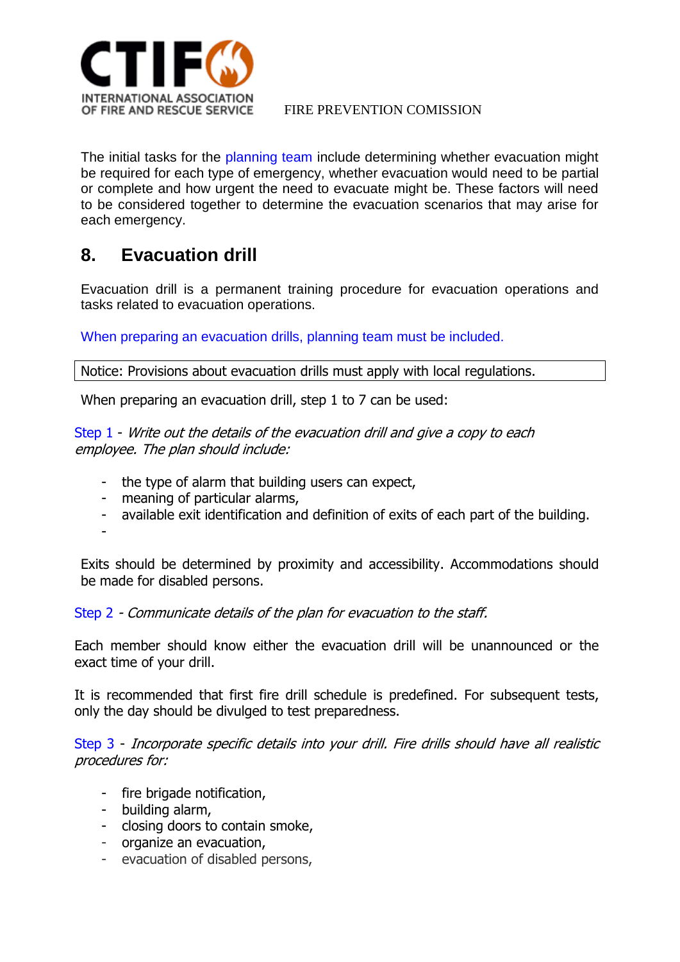

The initial tasks for the planning team include determining whether evacuation might be required for each type of emergency, whether evacuation would need to be partial or complete and how urgent the need to evacuate might be. These factors will need to be considered together to determine the evacuation scenarios that may arise for each emergency.

# <span id="page-10-0"></span>**8. Evacuation drill**

Evacuation drill is a permanent training procedure for evacuation operations and tasks related to evacuation operations.

When preparing an evacuation drills, planning team must be included.

Notice: Provisions about evacuation drills must apply with local regulations.

When preparing an evacuation drill, step 1 to 7 can be used:

### Step 1 - Write out the details of the evacuation drill and give a copy to each employee. The plan should include:

- the type of alarm that building users can expect,
- meaning of particular alarms,
- available exit identification and definition of exits of each part of the building.

-

Exits should be determined by proximity and accessibility. Accommodations should be made for disabled persons.

Step 2 - Communicate details of the plan for evacuation to the staff.

Each member should know either the evacuation drill will be unannounced or the exact time of your drill.

It is recommended that first fire drill schedule is predefined. For subsequent tests, only the day should be divulged to test preparedness.

Step 3 - Incorporate specific details into your drill. Fire drills should have all realistic procedures for:

- fire brigade notification,
- building alarm,
- closing doors to contain smoke,
- organize an evacuation,
- evacuation of disabled persons,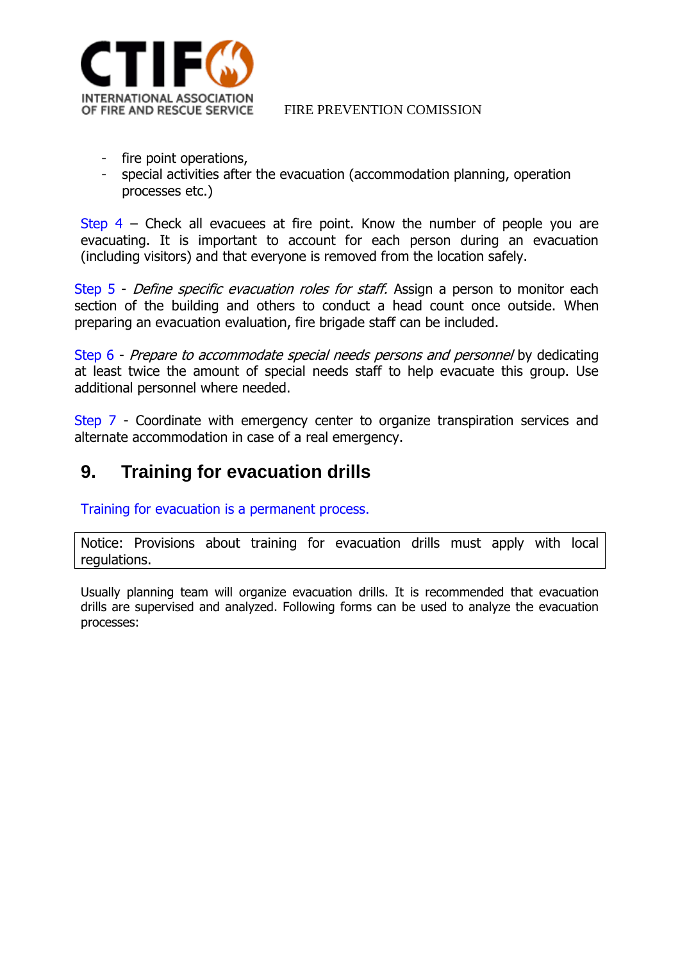

- fire point operations,
- special activities after the evacuation (accommodation planning, operation processes etc.)

Step  $4$  – Check all evacuees at fire point. Know the number of people you are evacuating. It is important to account for each person during an evacuation (including visitors) and that everyone is removed from the location safely.

Step 5 - *Define specific evacuation roles for staff*. Assign a person to monitor each section of the building and others to conduct a head count once outside. When preparing an evacuation evaluation, fire brigade staff can be included.

Step 6 - Prepare to accommodate special needs persons and personnel by dedicating at least twice the amount of special needs staff to help evacuate this group. Use additional personnel where needed.

Step 7 - Coordinate with emergency center to organize transpiration services and alternate accommodation in case of a real emergency.

# <span id="page-11-0"></span>**9. Training for evacuation drills**

Training for evacuation is a permanent process.

Notice: Provisions about training for evacuation drills must apply with local regulations.

Usually planning team will organize evacuation drills. It is recommended that evacuation drills are supervised and analyzed. Following forms can be used to analyze the evacuation processes: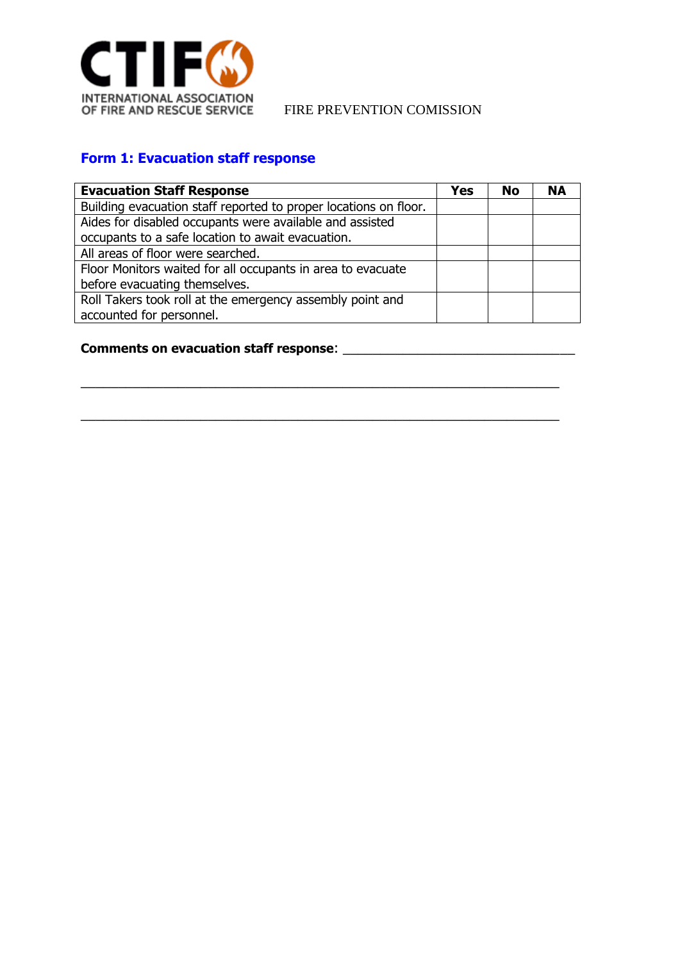

## **Form 1: Evacuation staff response**

| <b>Evacuation Staff Response</b>                                 | Yes | No | <b>NA</b> |
|------------------------------------------------------------------|-----|----|-----------|
| Building evacuation staff reported to proper locations on floor. |     |    |           |
| Aides for disabled occupants were available and assisted         |     |    |           |
| occupants to a safe location to await evacuation.                |     |    |           |
| All areas of floor were searched.                                |     |    |           |
| Floor Monitors waited for all occupants in area to evacuate      |     |    |           |
| before evacuating themselves.                                    |     |    |           |
| Roll Takers took roll at the emergency assembly point and        |     |    |           |
| accounted for personnel.                                         |     |    |           |

\_\_\_\_\_\_\_\_\_\_\_\_\_\_\_\_\_\_\_\_\_\_\_\_\_\_\_\_\_\_\_\_\_\_\_\_\_\_\_\_\_\_\_\_\_\_\_\_\_\_\_\_\_\_\_\_\_\_\_\_\_\_\_\_

\_\_\_\_\_\_\_\_\_\_\_\_\_\_\_\_\_\_\_\_\_\_\_\_\_\_\_\_\_\_\_\_\_\_\_\_\_\_\_\_\_\_\_\_\_\_\_\_\_\_\_\_\_\_\_\_\_\_\_\_\_\_\_\_

## **Comments on evacuation staff response**: \_\_\_\_\_\_\_\_\_\_\_\_\_\_\_\_\_\_\_\_\_\_\_\_\_\_\_\_\_\_\_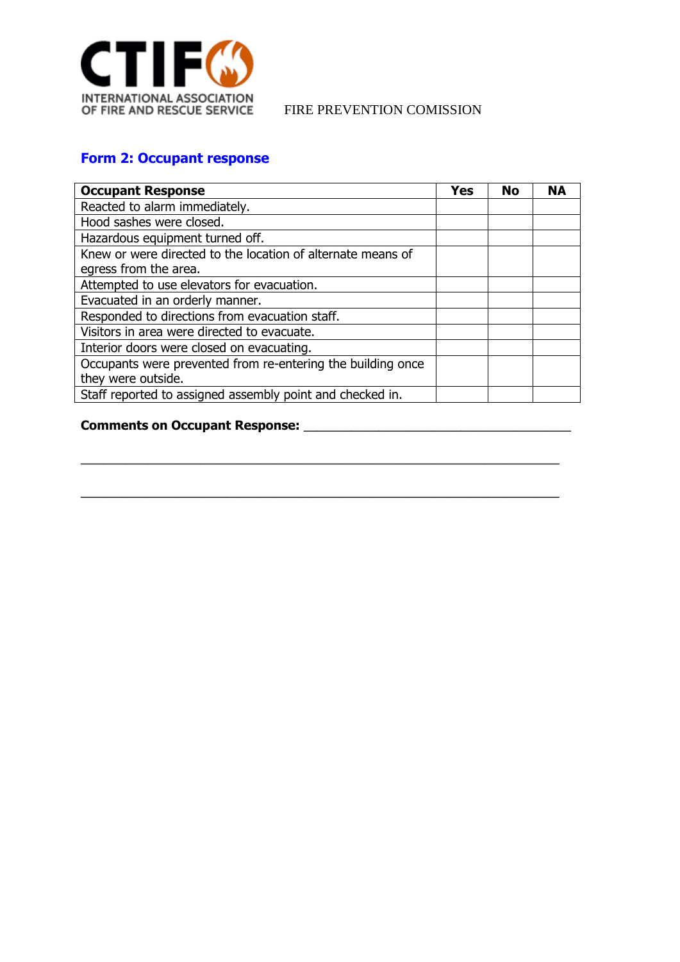

## **Form 2: Occupant response**

| <b>Occupant Response</b>                                    | <b>Yes</b> | No | <b>NA</b> |
|-------------------------------------------------------------|------------|----|-----------|
| Reacted to alarm immediately.                               |            |    |           |
| Hood sashes were closed.                                    |            |    |           |
| Hazardous equipment turned off.                             |            |    |           |
| Knew or were directed to the location of alternate means of |            |    |           |
| egress from the area.                                       |            |    |           |
| Attempted to use elevators for evacuation.                  |            |    |           |
| Evacuated in an orderly manner.                             |            |    |           |
| Responded to directions from evacuation staff.              |            |    |           |
| Visitors in area were directed to evacuate.                 |            |    |           |
| Interior doors were closed on evacuating.                   |            |    |           |
| Occupants were prevented from re-entering the building once |            |    |           |
| they were outside.                                          |            |    |           |
| Staff reported to assigned assembly point and checked in.   |            |    |           |

\_\_\_\_\_\_\_\_\_\_\_\_\_\_\_\_\_\_\_\_\_\_\_\_\_\_\_\_\_\_\_\_\_\_\_\_\_\_\_\_\_\_\_\_\_\_\_\_\_\_\_\_\_\_\_\_\_\_\_\_\_\_\_\_

\_\_\_\_\_\_\_\_\_\_\_\_\_\_\_\_\_\_\_\_\_\_\_\_\_\_\_\_\_\_\_\_\_\_\_\_\_\_\_\_\_\_\_\_\_\_\_\_\_\_\_\_\_\_\_\_\_\_\_\_\_\_\_\_

### **Comments on Occupant Response:** \_\_\_\_\_\_\_\_\_\_\_\_\_\_\_\_\_\_\_\_\_\_\_\_\_\_\_\_\_\_\_\_\_\_\_\_\_\_\_